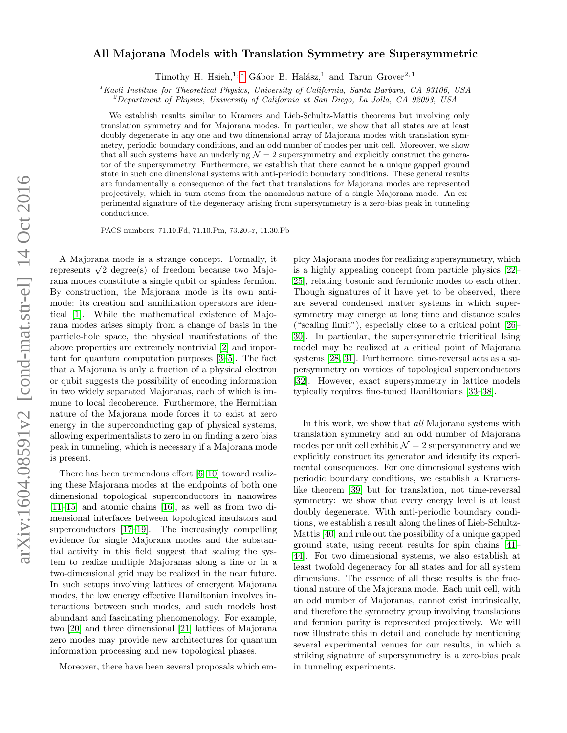# $arXiv:1604.08591v2$  [cond-mat.str-el] 14 Oct 2016 arXiv:1604.08591v2 [cond-mat.str-el] 14 Oct 2016

# All Majorana Models with Translation Symmetry are Supersymmetric

Timothy H. Hsieh,<sup>1,\*</sup> Gábor B. Halász,<sup>1</sup> and Tarun Grover<sup>2,1</sup>

 ${}^{1}$ Kavli Institute for Theoretical Physics, University of California, Santa Barbara, CA 93106, USA

<sup>2</sup>Department of Physics, University of California at San Diego, La Jolla, CA 92093, USA

We establish results similar to Kramers and Lieb-Schultz-Mattis theorems but involving only translation symmetry and for Majorana modes. In particular, we show that all states are at least doubly degenerate in any one and two dimensional array of Majorana modes with translation symmetry, periodic boundary conditions, and an odd number of modes per unit cell. Moreover, we show that all such systems have an underlying  $\mathcal{N} = 2$  supersymmetry and explicitly construct the generator of the supersymmetry. Furthermore, we establish that there cannot be a unique gapped ground state in such one dimensional systems with anti-periodic boundary conditions. These general results are fundamentally a consequence of the fact that translations for Majorana modes are represented projectively, which in turn stems from the anomalous nature of a single Majorana mode. An experimental signature of the degeneracy arising from supersymmetry is a zero-bias peak in tunneling conductance.

PACS numbers: 71.10.Fd, 71.10.Pm, 73.20.-r, 11.30.Pb

A Majorana mode is a strange concept. Formally, it A Majorana mode is a strange concept. Formally, it represents  $\sqrt{2}$  degree(s) of freedom because two Majorana modes constitute a single qubit or spinless fermion. By construction, the Majorana mode is its own antimode: its creation and annihilation operators are identical [\[1\]](#page-4-1). While the mathematical existence of Majorana modes arises simply from a change of basis in the particle-hole space, the physical manifestations of the above properties are extremely nontrivial [\[2\]](#page-4-2) and important for quantum computation purposes [\[3](#page-4-3)[–5\]](#page-4-4). The fact that a Majorana is only a fraction of a physical electron or qubit suggests the possibility of encoding information in two widely separated Majoranas, each of which is immune to local decoherence. Furthermore, the Hermitian nature of the Majorana mode forces it to exist at zero energy in the superconducting gap of physical systems, allowing experimentalists to zero in on finding a zero bias peak in tunneling, which is necessary if a Majorana mode is present.

There has been tremendous effort [\[6](#page-4-5)[–10\]](#page-4-6) toward realizing these Majorana modes at the endpoints of both one dimensional topological superconductors in nanowires [\[11–](#page-4-7)[15\]](#page-4-8) and atomic chains [\[16\]](#page-4-9), as well as from two dimensional interfaces between topological insulators and superconductors [\[17–](#page-4-10)[19\]](#page-4-11). The increasingly compelling evidence for single Majorana modes and the substantial activity in this field suggest that scaling the system to realize multiple Majoranas along a line or in a two-dimensional grid may be realized in the near future. In such setups involving lattices of emergent Majorana modes, the low energy effective Hamiltonian involves interactions between such modes, and such models host abundant and fascinating phenomenology. For example, two [\[20\]](#page-4-12) and three dimensional [\[21\]](#page-4-13) lattices of Majorana zero modes may provide new architectures for quantum information processing and new topological phases.

Moreover, there have been several proposals which em-

ploy Majorana modes for realizing supersymmetry, which is a highly appealing concept from particle physics [\[22–](#page-4-14) [25\]](#page-4-15), relating bosonic and fermionic modes to each other. Though signatures of it have yet to be observed, there are several condensed matter systems in which supersymmetry may emerge at long time and distance scales ("scaling limit"), especially close to a critical point [\[26–](#page-4-16) [30\]](#page-4-17). In particular, the supersymmetric tricritical Ising model may be realized at a critical point of Majorana systems [\[28,](#page-4-18) [31\]](#page-4-19). Furthermore, time-reversal acts as a supersymmetry on vortices of topological superconductors [\[32\]](#page-4-20). However, exact supersymmetry in lattice models typically requires fine-tuned Hamiltonians [\[33–](#page-4-21)[38\]](#page-4-22).

In this work, we show that all Majorana systems with translation symmetry and an odd number of Majorana modes per unit cell exhibit  $\mathcal{N} = 2$  supersymmetry and we explicitly construct its generator and identify its experimental consequences. For one dimensional systems with periodic boundary conditions, we establish a Kramerslike theorem [\[39\]](#page-4-23) but for translation, not time-reversal symmetry: we show that every energy level is at least doubly degenerate. With anti-periodic boundary conditions, we establish a result along the lines of Lieb-Schultz-Mattis [\[40\]](#page-4-24) and rule out the possibility of a unique gapped ground state, using recent results for spin chains [\[41–](#page-4-25) [44\]](#page-4-26). For two dimensional systems, we also establish at least twofold degeneracy for all states and for all system dimensions. The essence of all these results is the fractional nature of the Majorana mode. Each unit cell, with an odd number of Majoranas, cannot exist intrinsically, and therefore the symmetry group involving translations and fermion parity is represented projectively. We will now illustrate this in detail and conclude by mentioning several experimental venues for our results, in which a striking signature of supersymmetry is a zero-bias peak in tunneling experiments.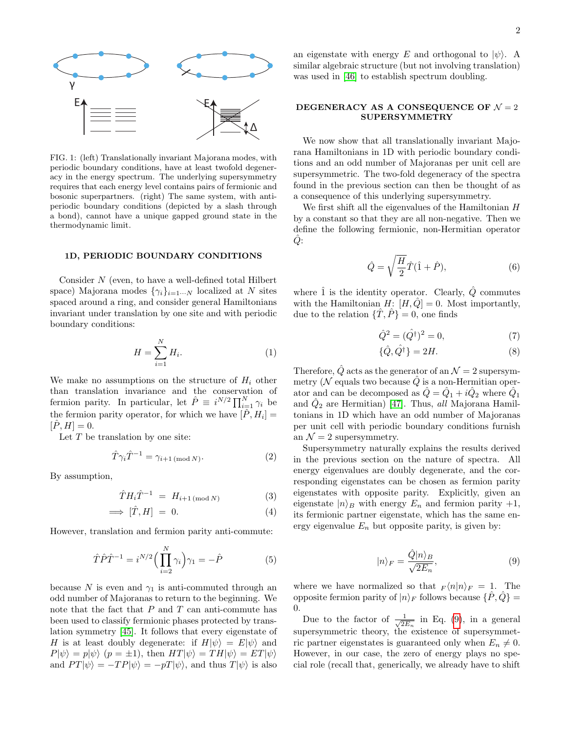

FIG. 1: (left) Translationally invariant Majorana modes, with periodic boundary conditions, have at least twofold degeneracy in the energy spectrum. The underlying supersymmetry requires that each energy level contains pairs of fermionic and bosonic superpartners. (right) The same system, with antiperiodic boundary conditions (depicted by a slash through a bond), cannot have a unique gapped ground state in the thermodynamic limit.

### 1D, PERIODIC BOUNDARY CONDITIONS

Consider N (even, to have a well-defined total Hilbert space) Majorana modes  $\{\gamma_i\}_{i=1\cdots N}$  localized at N sites spaced around a ring, and consider general Hamiltonians invariant under translation by one site and with periodic boundary conditions:

$$
H = \sum_{i=1}^{N} H_i.
$$
\n<sup>(1)</sup>

We make no assumptions on the structure of  $H_i$  other than translation invariance and the conservation of fermion parity. In particular, let  $\hat{P} \equiv i^{N/2} \prod_{i=1}^{N} \gamma_i$  be the fermion parity operator, for which we have  $[\hat{P}, H_i] =$  $[P, H] = 0.$ 

Let  $T$  be translation by one site:

$$
\hat{T}\gamma_i\hat{T}^{-1} = \gamma_{i+1 \pmod{N}}.\tag{2}
$$

By assumption,

$$
\hat{T}H_i\hat{T}^{-1} = H_{i+1 \pmod{N}} \tag{3}
$$

$$
\implies [\hat{T}, H] = 0. \tag{4}
$$

However, translation and fermion parity anti-commute:

$$
\hat{T}\hat{P}\hat{T}^{-1} = i^{N/2} \Big(\prod_{i=2}^{N} \gamma_i\Big)\gamma_1 = -\hat{P}
$$
\n(5)

because N is even and  $\gamma_1$  is anti-commuted through an odd number of Majoranas to return to the beginning. We note that the fact that  $P$  and  $T$  can anti-commute has been used to classify fermionic phases protected by translation symmetry [\[45\]](#page-5-0). It follows that every eigenstate of H is at least doubly degenerate: if  $H|\psi\rangle = E|\psi\rangle$  and  $P|\psi\rangle = p|\psi\rangle$   $(p = \pm 1)$ , then  $HT|\psi\rangle = TH|\psi\rangle = ET|\psi\rangle$ and  $PT|\psi\rangle = -TP|\psi\rangle = -pT|\psi\rangle$ , and thus  $T|\psi\rangle$  is also

an eigenstate with energy E and orthogonal to  $|\psi\rangle$ . A similar algebraic structure (but not involving translation) was used in [\[46\]](#page-5-1) to establish spectrum doubling.

## DEGENERACY AS A CONSEQUENCE OF  $\mathcal{N} = 2$ SUPERSYMMETRY

We now show that all translationally invariant Majorana Hamiltonians in 1D with periodic boundary conditions and an odd number of Majoranas per unit cell are supersymmetric. The two-fold degeneracy of the spectra found in the previous section can then be thought of as a consequence of this underlying supersymmetry.

We first shift all the eigenvalues of the Hamiltonian  $H$ by a constant so that they are all non-negative. Then we define the following fermionic, non-Hermitian operator  $Q$ :

<span id="page-1-1"></span>
$$
\hat{Q} = \sqrt{\frac{H}{2}} \hat{T} (\hat{1} + \hat{P}), \tag{6}
$$

where  $\hat{1}$  is the identity operator. Clearly,  $\hat{Q}$  commutes with the Hamiltonian  $H: [H, \hat{Q}] = 0$ . Most importantly, due to the relation  $\{\hat{T}, \hat{P}\} = 0$ , one finds

$$
\hat{Q}^2 = (\hat{Q}^{\dagger})^2 = 0,\t\t(7)
$$

$$
\{\hat{Q}, \hat{Q}^{\dagger}\} = 2H. \tag{8}
$$

Therefore,  $\hat{Q}$  acts as the generator of an  $\mathcal{N}=2$  supersymmetry ( $\mathcal N$  equals two because  $\hat Q$  is a non-Hermitian operator and can be decomposed as  $\hat{Q} = \hat{Q}_1 + i\hat{Q}_2$  where  $\hat{Q}_1$ and  $\hat{Q}_2$  are Hermitian) [\[47\]](#page-5-2). Thus, all Majorana Hamiltonians in 1D which have an odd number of Majoranas per unit cell with periodic boundary conditions furnish an  $\mathcal{N}=2$  supersymmetry.

Supersymmetry naturally explains the results derived in the previous section on the nature of spectra. All energy eigenvalues are doubly degenerate, and the corresponding eigenstates can be chosen as fermion parity eigenstates with opposite parity. Explicitly, given an eigenstate  $|n\rangle_B$  with energy  $E_n$  and fermion parity +1, its fermionic partner eigenstate, which has the same energy eigenvalue  $E_n$  but opposite parity, is given by:

<span id="page-1-0"></span>
$$
|n\rangle_F = \frac{\hat{Q}|n\rangle_B}{\sqrt{2E_n}},\tag{9}
$$

where we have normalized so that  $F(n|n)_F = 1$ . The opposite fermion parity of  $|n\rangle_F$  follows because  $\{P, Q\}$  = 0.

Due to the factor of  $\frac{1}{\sqrt{2}}$  $\frac{1}{2E_n}$  in Eq. [\(9\)](#page-1-0), in a general supersymmetric theory, the existence of supersymmetric partner eigenstates is guaranteed only when  $E_n \neq 0$ . However, in our case, the zero of energy plays no special role (recall that, generically, we already have to shift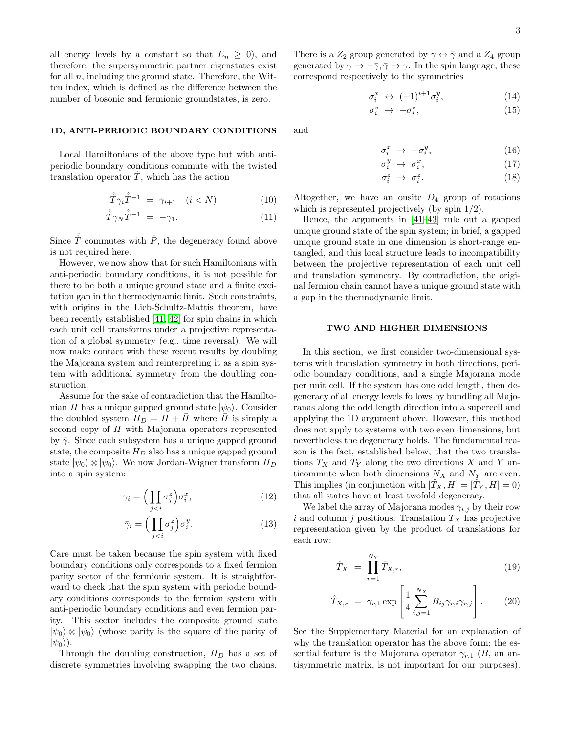all energy levels by a constant so that  $E_n \geq 0$ , and therefore, the supersymmetric partner eigenstates exist for all  $n$ , including the ground state. Therefore, the Witten index, which is defined as the difference between the number of bosonic and fermionic groundstates, is zero.

### 1D, ANTI-PERIODIC BOUNDARY CONDITIONS

Local Hamiltonians of the above type but with antiperiodic boundary conditions commute with the twisted translation operator  $\tilde{T}$ , which has the action

$$
\hat{\tilde{T}}\gamma_i \hat{\tilde{T}}^{-1} = \gamma_{i+1} \quad (i < N), \tag{10}
$$

$$
\hat{\tilde{T}}\gamma_N\hat{\tilde{T}}^{-1} = -\gamma_1. \tag{11}
$$

Since  $\hat{\tilde{T}}$  commutes with  $\hat{P}$ , the degeneracy found above is not required here.

However, we now show that for such Hamiltonians with anti-periodic boundary conditions, it is not possible for there to be both a unique ground state and a finite excitation gap in the thermodynamic limit. Such constraints, with origins in the Lieb-Schultz-Mattis theorem, have been recently established [\[41,](#page-4-25) [42\]](#page-4-27) for spin chains in which each unit cell transforms under a projective representation of a global symmetry (e.g., time reversal). We will now make contact with these recent results by doubling the Majorana system and reinterpreting it as a spin system with additional symmetry from the doubling construction.

Assume for the sake of contradiction that the Hamiltonian H has a unique gapped ground state  $|\psi_0\rangle$ . Consider the doubled system  $H_D = H + H$  where H is simply a second copy of H with Majorana operators represented by  $\bar{\gamma}$ . Since each subsystem has a unique gapped ground state, the composite  $H_D$  also has a unique gapped ground state  $|\psi_0\rangle \otimes |\psi_0\rangle$ . We now Jordan-Wigner transform  $H_D$ into a spin system:

$$
\gamma_i = \left(\prod_{j
$$

$$
\bar{\gamma}_i = \left(\prod_{j
$$

Care must be taken because the spin system with fixed boundary conditions only corresponds to a fixed fermion parity sector of the fermionic system. It is straightforward to check that the spin system with periodic boundary conditions corresponds to the fermion system with anti-periodic boundary conditions and even fermion parity. This sector includes the composite ground state  $|\psi_0\rangle \otimes |\psi_0\rangle$  (whose parity is the square of the parity of  $|\psi_0\rangle$ ).

Through the doubling construction,  $H_D$  has a set of discrete symmetries involving swapping the two chains.

There is a  $Z_2$  group generated by  $\gamma \leftrightarrow \bar{\gamma}$  and a  $Z_4$  group generated by  $\gamma \to -\bar{\gamma}, \bar{\gamma} \to \gamma$ . In the spin language, these correspond respectively to the symmetries

$$
\sigma_i^x \leftrightarrow (-1)^{i+1} \sigma_i^y, \tag{14}
$$

$$
\sigma_i^z \to -\sigma_i^z,\tag{15}
$$

and

$$
\sigma_i^x \ \to \ -\sigma_i^y,\tag{16}
$$

$$
\sigma_i^y \ \to \ \sigma_i^x,\tag{17}
$$

$$
\sigma_i^z \to \sigma_i^z. \tag{18}
$$

Altogether, we have an onsite  $D_4$  group of rotations which is represented projectively (by spin 1/2).

Hence, the arguments in [\[41–](#page-4-25)[43\]](#page-4-28) rule out a gapped unique ground state of the spin system; in brief, a gapped unique ground state in one dimension is short-range entangled, and this local structure leads to incompatibility between the projective representation of each unit cell and translation symmetry. By contradiction, the original fermion chain cannot have a unique ground state with a gap in the thermodynamic limit.

### TWO AND HIGHER DIMENSIONS

In this section, we first consider two-dimensional systems with translation symmetry in both directions, periodic boundary conditions, and a single Majorana mode per unit cell. If the system has one odd length, then degeneracy of all energy levels follows by bundling all Majoranas along the odd length direction into a supercell and applying the 1D argument above. However, this method does not apply to systems with two even dimensions, but nevertheless the degeneracy holds. The fundamental reason is the fact, established below, that the two translations  $T_X$  and  $T_Y$  along the two directions X and Y anticommute when both dimensions  $N_X$  and  $N_Y$  are even. This implies (in conjunction with  $[\hat{T}_X, H] = [\hat{T}_Y, H] = 0$ ) that all states have at least twofold degeneracy.

We label the array of Majorana modes  $\gamma_{i,j}$  by their row i and column j positions. Translation  $T_X$  has projective representation given by the product of translations for each row:

$$
\hat{T}_X = \prod_{r=1}^{N_Y} \hat{T}_{X,r},\tag{19}
$$

$$
\hat{T}_{X,r} = \gamma_{r,1} \exp\left[\frac{1}{4} \sum_{i,j=1}^{N_X} B_{ij} \gamma_{r,i} \gamma_{r,j}\right].
$$
 (20)

See the Supplementary Material for an explanation of why the translation operator has the above form; the essential feature is the Majorana operator  $\gamma_{r,1}$  (B, an antisymmetric matrix, is not important for our purposes).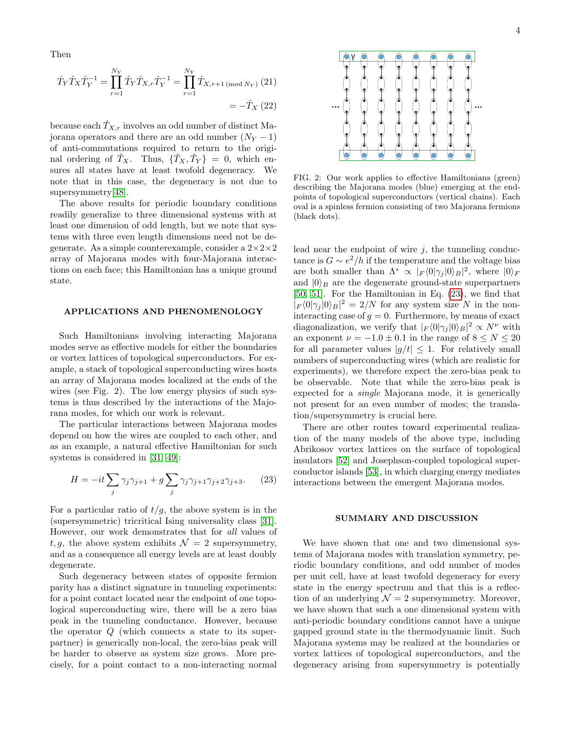Then

$$
\hat{T}_Y \hat{T}_X \hat{T}_Y^{-1} = \prod_{r=1}^{N_Y} \hat{T}_Y \hat{T}_{X,r} \hat{T}_Y^{-1} = \prod_{r=1}^{N_Y} \hat{T}_{X,r+1 \text{ (mod } N_Y)} (21)
$$

$$
= -\hat{T}_X (22)
$$

because each  $\hat{T}_{X,r}$  involves an odd number of distinct Majorana operators and there are an odd number  $(N_Y - 1)$ of anti-commutations required to return to the original ordering of  $\hat{T}_X$ . Thus,  $\{\hat{T}_X, \hat{T}_Y\} = 0$ , which ensures all states have at least twofold degeneracy. We note that in this case, the degeneracy is not due to supersymmetry[\[48\]](#page-5-3).

The above results for periodic boundary conditions readily generalize to three dimensional systems with at least one dimension of odd length, but we note that systems with three even length dimensions need not be degenerate. As a simple counterexample, consider a  $2 \times 2 \times 2$ array of Majorana modes with four-Majorana interactions on each face; this Hamiltonian has a unique ground state.

### APPLICATIONS AND PHENOMENOLOGY

Such Hamiltonians involving interacting Majorana modes serve as effective models for either the boundaries or vortex lattices of topological superconductors. For example, a stack of topological superconducting wires hosts an array of Majorana modes localized at the ends of the wires (see Fig. 2). The low energy physics of such systems is thus described by the interactions of the Majorana modes, for which our work is relevant.

The particular interactions between Majorana modes depend on how the wires are coupled to each other, and as an example, a natural effective Hamiltonian for such systems is considered in [\[31,](#page-4-19) [49\]](#page-5-4):

<span id="page-3-0"></span>
$$
H = -it \sum_{j} \gamma_{j} \gamma_{j+1} + g \sum_{j} \gamma_{j} \gamma_{j+1} \gamma_{j+2} \gamma_{j+3}.
$$
 (23)

For a particular ratio of  $t/g$ , the above system is in the (supersymmetric) tricritical Ising universality class [\[31\]](#page-4-19). However, our work demonstrates that for all values of t, g, the above system exhibits  $\mathcal{N} = 2$  supersymmetry, and as a consequence all energy levels are at least doubly degenerate.

Such degeneracy between states of opposite fermion parity has a distinct signature in tunneling experiments: for a point contact located near the endpoint of one topological superconducting wire, there will be a zero bias peak in the tunneling conductance. However, because the operator Q (which connects a state to its superpartner) is generically non-local, the zero-bias peak will be harder to observe as system size grows. More precisely, for a point contact to a non-interacting normal



FIG. 2: Our work applies to effective Hamiltonians (green) describing the Majorana modes (blue) emerging at the endpoints of topological superconductors (vertical chains). Each oval is a spinless fermion consisting of two Majorana fermions (black dots).

lead near the endpoint of wire  $j$ , the tunneling conductance is  $G \sim e^2/h$  if the temperature and the voltage bias are both smaller than  $\Lambda^* \propto |F \langle 0 | \gamma_j | 0 \rangle_B|^2$ , where  $|0 \rangle_F$ and  $|0\rangle_B$  are the degenerate ground-state superpartners [\[50,](#page-5-5) [51\]](#page-5-6). For the Hamiltonian in Eq. [\(23\)](#page-3-0), we find that  $|F(0|\gamma_j|0\rangle_B|^2 = 2/N$  for any system size N in the noninteracting case of  $g = 0$ . Furthermore, by means of exact diagonalization, we verify that  $|F(0|\gamma_j|0\rangle_B|^2 \propto N^{\nu}$  with an exponent  $\nu = -1.0 \pm 0.1$  in the range of  $8 \le N \le 20$ for all parameter values  $|q/t| < 1$ . For relatively small numbers of superconducting wires (which are realistic for experiments), we therefore expect the zero-bias peak to be observable. Note that while the zero-bias peak is expected for a single Majorana mode, it is generically not present for an even number of modes; the translation/supersymmetry is crucial here.

There are other routes toward experimental realization of the many models of the above type, including Abrikosov vortex lattices on the surface of topological insulators [\[52\]](#page-5-7) and Josephson-coupled topological superconductor islands [\[53\]](#page-5-8), in which charging energy mediates interactions between the emergent Majorana modes.

### SUMMARY AND DISCUSSION

We have shown that one and two dimensional systems of Majorana modes with translation symmetry, periodic boundary conditions, and odd number of modes per unit cell, have at least twofold degeneracy for every state in the energy spectrum and that this is a reflection of an underlying  $\mathcal{N} = 2$  supersymmetry. Moreover, we have shown that such a one dimensional system with anti-periodic boundary conditions cannot have a unique gapped ground state in the thermodynamic limit. Such Majorana systems may be realized at the boundaries or vortex lattices of topological superconductors, and the degeneracy arising from supersymmetry is potentially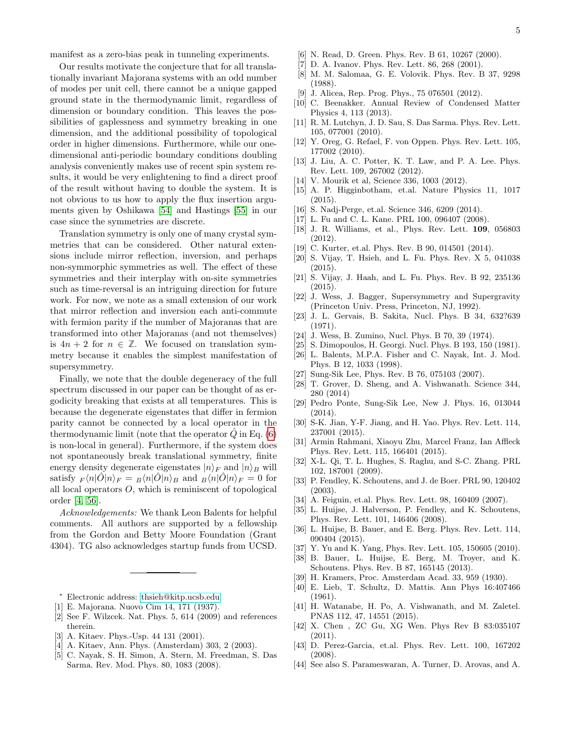Our results motivate the conjecture that for all translationally invariant Majorana systems with an odd number of modes per unit cell, there cannot be a unique gapped ground state in the thermodynamic limit, regardless of dimension or boundary condition. This leaves the possibilities of gaplessness and symmetry breaking in one dimension, and the additional possibility of topological order in higher dimensions. Furthermore, while our onedimensional anti-periodic boundary conditions doubling analysis conveniently makes use of recent spin system results, it would be very enlightening to find a direct proof of the result without having to double the system. It is not obvious to us how to apply the flux insertion arguments given by Oshikawa [\[54\]](#page-5-9) and Hastings [\[55\]](#page-5-10) in our case since the symmetries are discrete.

Translation symmetry is only one of many crystal symmetries that can be considered. Other natural extensions include mirror reflection, inversion, and perhaps non-symmorphic symmetries as well. The effect of these symmetries and their interplay with on-site symmetries such as time-reversal is an intriguing direction for future work. For now, we note as a small extension of our work that mirror reflection and inversion each anti-commute with fermion parity if the number of Majoranas that are transformed into other Majoranas (and not themselves) is  $4n + 2$  for  $n \in \mathbb{Z}$ . We focused on translation symmetry because it enables the simplest manifestation of supersymmetry.

Finally, we note that the double degeneracy of the full spectrum discussed in our paper can be thought of as ergodicity breaking that exists at all temperatures. This is because the degenerate eigenstates that differ in fermion parity cannot be connected by a local operator in the thermodynamic limit (note that the operator  $\tilde{Q}$  in Eq. [\(6\)](#page-1-1) is non-local in general). Furthermore, if the system does not spontaneously break translational symmetry, finite energy density degenerate eigenstates  $|n\rangle_F$  and  $|n\rangle_B$  will satisfy  $_F \langle n|\hat{O}|n\rangle_F = \frac{1}{B} \langle n|\hat{O}|n\rangle_B$  and  $\frac{1}{B} \langle n|\hat{O}|n\rangle_F = 0$  for all local operators  $O$ , which is reminiscent of topological order [\[4,](#page-4-29) [56\]](#page-5-11).

Acknowledgements: We thank Leon Balents for helpful comments. All authors are supported by a fellowship from the Gordon and Betty Moore Foundation (Grant 4304). TG also acknowledges startup funds from UCSD.

- <span id="page-4-0"></span><sup>∗</sup> Electronic address: [thsieh@kitp.ucsb.edu](mailto:thsieh@kitp.ucsb.edu)
- <span id="page-4-1"></span>[1] E. Majorana. Nuovo Cim 14, 171 (1937).
- <span id="page-4-2"></span>[2] See F. Wilzcek. Nat. Phys. 5, 614 (2009) and references therein.
- <span id="page-4-3"></span>[3] A. Kitaev. Phys.-Usp. 44 131 (2001).
- <span id="page-4-29"></span>[4] A. Kitaev, Ann. Phys. (Amsterdam) 303, 2 (2003).
- <span id="page-4-4"></span>[5] C. Nayak, S. H. Simon, A. Stern, M. Freedman, S. Das Sarma. Rev. Mod. Phys. 80, 1083 (2008).
- <span id="page-4-5"></span>[6] N. Read, D. Green. Phys. Rev. B 61, 10267 (2000).
- [7] D. A. Ivanov. Phys. Rev. Lett. 86, 268 (2001).
- [8] M. M. Salomaa, G. E. Volovik. Phys. Rev. B 37, 9298 (1988).
- [9] J. Alicea, Rep. Prog. Phys., 75 076501 (2012).
- <span id="page-4-6"></span>[10] C. Beenakker. Annual Review of Condensed Matter Physics 4, 113 (2013).
- <span id="page-4-7"></span>[11] R. M. Lutchyn, J. D. Sau, S. Das Sarma. Phys. Rev. Lett. 105, 077001 (2010).
- [12] Y. Oreg, G. Refael, F. von Oppen. Phys. Rev. Lett. 105, 177002 (2010).
- [13] J. Liu, A. C. Potter, K. T. Law, and P. A. Lee. Phys. Rev. Lett. 109, 267002 (2012).
- [14] V. Mourik et al, Science 336, 1003 (2012).
- <span id="page-4-8"></span>[15] A. P. Higginbotham, et.al. Nature Physics 11, 1017 (2015).
- <span id="page-4-9"></span>[16] S. Nadj-Perge, et.al. Science 346, 6209 (2014).
- <span id="page-4-10"></span>[17] L. Fu and C. L. Kane. PRL 100, 096407 (2008).
- [18] J. R. Williams, et al., Phys. Rev. Lett. **109**, 056803 (2012).
- <span id="page-4-11"></span>[19] C. Kurter, et.al. Phys. Rev. B 90, 014501 (2014).
- <span id="page-4-12"></span>[20] S. Vijay, T. Hsieh, and L. Fu. Phys. Rev. X 5, 041038 (2015).
- <span id="page-4-13"></span>[21] S. Vijay, J. Haah, and L. Fu. Phys. Rev. B 92, 235136 (2015).
- <span id="page-4-14"></span>[22] J. Wess, J. Bagger, Supersymmetry and Supergravity (Princeton Univ. Press, Princeton, NJ, 1992).
- [23] J. L. Gervais, B. Sakita, Nucl. Phys. B 34, 632?639 (1971).
- [24] J. Wess, B. Zumino, Nucl. Phys. B 70, 39 (1974).
- <span id="page-4-15"></span>[25] S. Dimopoulos, H. Georgi. Nucl. Phys. B 193, 150 (1981).
- <span id="page-4-16"></span>[26] L. Balents, M.P.A. Fisher and C. Nayak, Int. J. Mod. Phys. B 12, 1033 (1998).
- [27] Sung-Sik Lee, Phys. Rev. B 76, 075103 (2007).
- <span id="page-4-18"></span>[28] T. Grover, D. Sheng, and A. Vishwanath. Science 344, 280 (2014)
- [29] Pedro Ponte, Sung-Sik Lee, New J. Phys. 16, 013044 (2014).
- <span id="page-4-17"></span>[30] S-K. Jian, Y-F. Jiang, and H. Yao. Phys. Rev. Lett. 114, 237001 (2015).
- <span id="page-4-19"></span>[31] Armin Rahmani, Xiaoyu Zhu, Marcel Franz, Ian Affleck Phys. Rev. Lett. 115, 166401 (2015).
- <span id="page-4-20"></span>[32] X-L. Qi, T. L. Hughes, S. Raghu, and S-C. Zhang. PRL 102, 187001 (2009).
- <span id="page-4-21"></span>[33] P. Fendley, K. Schoutens, and J. de Boer. PRL 90, 120402 (2003).
- [34] A. Feiguin, et.al. Phys. Rev. Lett. 98, 160409 (2007).
- [35] L. Huijse, J. Halverson, P. Fendley, and K. Schoutens, Phys. Rev. Lett. 101, 146406 (2008).
- [36] L. Huijse, B. Bauer, and E. Berg. Phys. Rev. Lett. 114, 090404 (2015).
- [37] Y. Yu and K. Yang, Phys. Rev. Lett. 105, 150605 (2010).
- <span id="page-4-22"></span>[38] B. Bauer, L. Huijse, E. Berg, M. Troyer, and K. Schoutens. Phys. Rev. B 87, 165145 (2013).
- <span id="page-4-23"></span>[39] H. Kramers, Proc. Amsterdam Acad. 33, 959 (1930).
- <span id="page-4-24"></span>[40] E. Lieb, T. Schultz, D. Mattis. Ann Phys 16:407466 (1961).
- <span id="page-4-25"></span>[41] H. Watanabe, H. Po, A. Vishwanath, and M. Zaletel. PNAS 112, 47, 14551 (2015).
- <span id="page-4-27"></span>[42] X. Chen , ZC Gu, XG Wen. Phys Rev B 83:035107 (2011).
- <span id="page-4-28"></span>[43] D. Perez-Garcia, et.al. Phys. Rev. Lett. 100, 167202 (2008).
- <span id="page-4-26"></span>[44] See also S. Parameswaran, A. Turner, D. Arovas, and A.